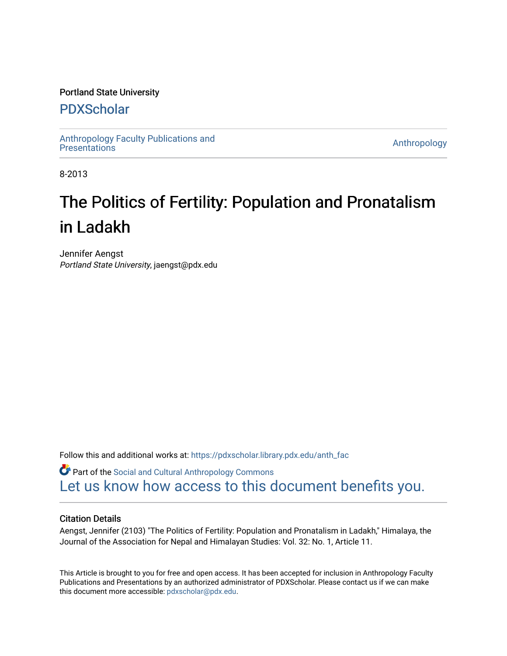# Portland State University

# [PDXScholar](https://pdxscholar.library.pdx.edu/)

[Anthropology Faculty Publications and](https://pdxscholar.library.pdx.edu/anth_fac) **Antiocential Control** Anthropology<br>Presentations

8-2013

# The Politics of Fertility: Population and Pronatalism in Ladakh

Jennifer Aengst Portland State University, jaengst@pdx.edu

Follow this and additional works at: [https://pdxscholar.library.pdx.edu/anth\\_fac](https://pdxscholar.library.pdx.edu/anth_fac?utm_source=pdxscholar.library.pdx.edu%2Fanth_fac%2F72&utm_medium=PDF&utm_campaign=PDFCoverPages) 

**Part of the Social and Cultural Anthropology Commons** [Let us know how access to this document benefits you.](http://library.pdx.edu/services/pdxscholar-services/pdxscholar-feedback/?ref=https://pdxscholar.library.pdx.edu/anth_fac/72) 

## Citation Details

Aengst, Jennifer (2103) "The Politics of Fertility: Population and Pronatalism in Ladakh," Himalaya, the Journal of the Association for Nepal and Himalayan Studies: Vol. 32: No. 1, Article 11.

This Article is brought to you for free and open access. It has been accepted for inclusion in Anthropology Faculty Publications and Presentations by an authorized administrator of PDXScholar. Please contact us if we can make this document more accessible: [pdxscholar@pdx.edu.](mailto:pdxscholar@pdx.edu)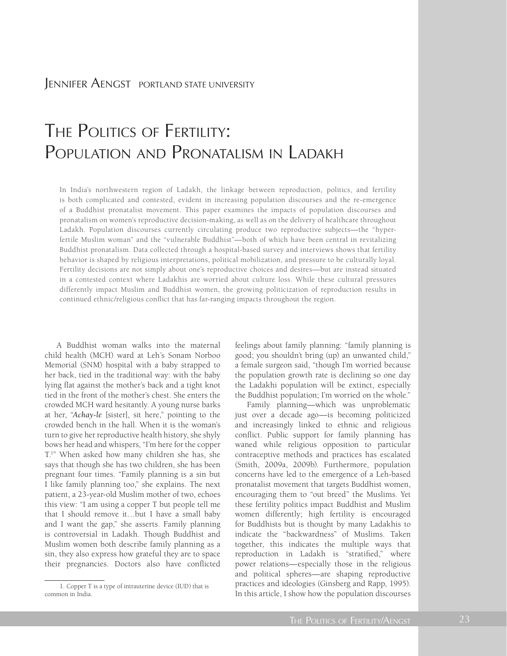# Jennifer Aengst PORTLAND STATE UNIVERSITY

# THE POLITICS OF FERTILITY: POPULATION AND PRONATALISM IN LADAKH

In India's northwestern region of Ladakh, the linkage between reproduction, politics, and fertility is both complicated and contested, evident in increasing population discourses and the re-emergence of a Buddhist pronatalist movement. This paper examines the impacts of population discourses and pronatalism on women's reproductive decision-making, as well as on the delivery of healthcare throughout Ladakh. Population discourses currently circulating produce two reproductive subjects—the "hyperfertile Muslim woman" and the "vulnerable Buddhist"—both of which have been central in revitalizing Buddhist pronatalism. Data collected through a hospital-based survey and interviews shows that fertility behavior is shaped by religious interpretations, political mobilization, and pressure to be culturally loyal. Fertility decisions are not simply about one's reproductive choices and desires—but are instead situated in a contested context where Ladakhis are worried about culture loss. While these cultural pressures differently impact Muslim and Buddhist women, the growing politicization of reproduction results in continued ethnic/religious conflict that has far-ranging impacts throughout the region.

A Buddhist woman walks into the maternal child health (MCH) ward at Leh's Sonam Norboo Memorial (SNM) hospital with a baby strapped to her back, tied in the traditional way: with the baby lying flat against the mother's back and a tight knot tied in the front of the mother's chest. She enters the crowded MCH ward hesitantly. A young nurse barks at her, "*Achay-le* [sister], sit here," pointing to the crowded bench in the hall. When it is the woman's turn to give her reproductive health history, she shyly bows her head and whispers, "I'm here for the copper T.1 " When asked how many children she has, she says that though she has two children, she has been pregnant four times. "Family planning is a sin but I like family planning too," she explains. The next patient, a 23-year-old Muslim mother of two, echoes this view: "I am using a copper T but people tell me that I should remove it…but I have a small baby and I want the gap," she asserts. Family planning is controversial in Ladakh. Though Buddhist and Muslim women both describe family planning as a sin, they also express how grateful they are to space their pregnancies. Doctors also have conflicted

feelings about family planning: "family planning is good; you shouldn't bring (up) an unwanted child," a female surgeon said, "though I'm worried because the population growth rate is declining so one day the Ladakhi population will be extinct, especially the Buddhist population; I'm worried on the whole."

Family planning—which was unproblematic just over a decade ago—is becoming politicized and increasingly linked to ethnic and religious conflict. Public support for family planning has waned while religious opposition to particular contraceptive methods and practices has escalated (Smith, 2009a, 2009b). Furthermore, population concerns have led to the emergence of a Leh-based pronatalist movement that targets Buddhist women, encouraging them to "out breed" the Muslims. Yet these fertility politics impact Buddhist and Muslim women differently; high fertility is encouraged for Buddhists but is thought by many Ladakhis to indicate the "backwardness" of Muslims. Taken together, this indicates the multiple ways that reproduction in Ladakh is "stratified," where power relations—especially those in the religious and political spheres—are shaping reproductive practices and ideologies (Ginsberg and Rapp, 1995). In this article, I show how the population discourses

<sup>1.</sup> Copper T is a type of intrauterine device (IUD) that is common in India.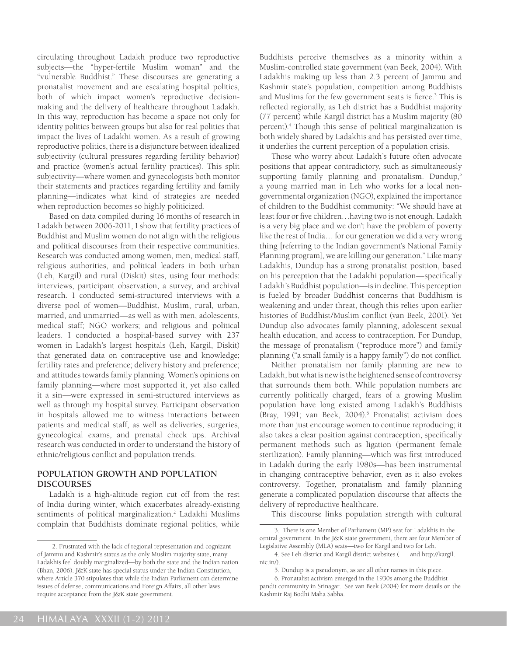circulating throughout Ladakh produce two reproductive subjects—the "hyper-fertile Muslim woman" and the "vulnerable Buddhist." These discourses are generating a pronatalist movement and are escalating hospital politics, both of which impact women's reproductive decisionmaking and the delivery of healthcare throughout Ladakh. In this way, reproduction has become a space not only for identity politics between groups but also for real politics that impact the lives of Ladakhi women. As a result of growing reproductive politics, there is a disjuncture between idealized subjectivity (cultural pressures regarding fertility behavior) and practice (women's actual fertility practices). This split subjectivity—where women and gynecologists both monitor their statements and practices regarding fertility and family planning—indicates what kind of strategies are needed when reproduction becomes so highly politicized.

Based on data compiled during 16 months of research in Ladakh between 2006-2011, I show that fertility practices of Buddhist and Muslim women do not align with the religious and political discourses from their respective communities. Research was conducted among women, men, medical staff, religious authorities, and political leaders in both urban (Leh, Kargil) and rural (Diskit) sites, using four methods: interviews, participant observation, a survey, and archival research. I conducted semi-structured interviews with a diverse pool of women—Buddhist, Muslim, rural, urban, married, and unmarried—as well as with men, adolescents, medical staff; NGO workers; and religious and political leaders. I conducted a hospital-based survey with 237 women in Ladakh's largest hospitals (Leh, Kargil, Diskit) that generated data on contraceptive use and knowledge; fertility rates and preference; delivery history and preference; and attitudes towards family planning. Women's opinions on family planning—where most supported it, yet also called it a sin—were expressed in semi-structured interviews as well as through my hospital survey. Participant observation in hospitals allowed me to witness interactions between patients and medical staff, as well as deliveries, surgeries, gynecological exams, and prenatal check ups. Archival research was conducted in order to understand the history of ethnic/religious conflict and population trends.

#### **POPULATION GROWTH AND POPULATION DISCOURSES**

Ladakh is a high-altitude region cut off from the rest of India during winter, which exacerbates already-existing sentiments of political marginalization.<sup>2</sup> Ladakhi Muslims complain that Buddhists dominate regional politics, while

Buddhists perceive themselves as a minority within a Muslim-controlled state government (van Beek, 2004). With Ladakhis making up less than 2.3 percent of Jammu and Kashmir state's population, competition among Buddhists and Muslims for the few government seats is fierce.<sup>3</sup> This is reflected regionally, as Leh district has a Buddhist majority (77 percent) while Kargil district has a Muslim majority (80 percent).4 Though this sense of political marginalization is both widely shared by Ladakhis and has persisted over time, it underlies the current perception of a population crisis.

Those who worry about Ladakh's future often advocate positions that appear contradictory, such as simultaneously supporting family planning and pronatalism. Dundup,<sup>5</sup> a young married man in Leh who works for a local nongovernmental organization (NGO), explained the importance of children to the Buddhist community: "We should have at least four or five children…having two is not enough. Ladakh is a very big place and we don't have the problem of poverty like the rest of India… for our generation we did a very wrong thing [referring to the Indian government's National Family Planning program], we are killing our generation." Like many Ladakhis, Dundup has a strong pronatalist position, based on his perception that the Ladakhi population—specifically Ladakh's Buddhist population—is in decline. This perception is fueled by broader Buddhist concerns that Buddhism is weakening and under threat, though this relies upon earlier histories of Buddhist/Muslim conflict (van Beek, 2001). Yet Dundup also advocates family planning, adolescent sexual health education, and access to contraception. For Dundup, the message of pronatalism ("reproduce more") and family planning ("a small family is a happy family") do not conflict.

Neither pronatalism nor family planning are new to Ladakh, but what is new is the heightened sense of controversy that surrounds them both. While population numbers are currently politically charged, fears of a growing Muslim population have long existed among Ladakh's Buddhists (Bray, 1991; van Beek, 2004).6 Pronatalist activism does more than just encourage women to continue reproducing; it also takes a clear position against contraception, specifically permanent methods such as ligation (permanent female sterilization). Family planning—which was first introduced in Ladakh during the early 1980s—has been instrumental in changing contraceptive behavior, even as it also evokes controversy. Together, pronatalism and family planning generate a complicated population discourse that affects the delivery of reproductive healthcare.

This discourse links population strength with cultural

<sup>2.</sup> Frustrated with the lack of regional representation and cognizant of Jammu and Kashmir's status as the only Muslim majority state, many Ladakhis feel doubly marginalized—by both the state and the Indian nation (Bhan, 2006). J&K state has special status under the Indian Constitution, where Article 370 stipulates that while the Indian Parliament can determine issues of defense, communications and Foreign Affairs, all other laws require acceptance from the J&K state government.

<sup>3.</sup> There is one Member of Parliament (MP) seat for Ladakhis in the central government. In the J&K state government, there are four Member of Legislative Assembly (MLA) seats—two for Kargil and two for Leh.

<sup>4.</sup> See Leh district and Kargil district websites ( and http://kargil. nic.in/).

<sup>5.</sup> Dundup is a pseudonym, as are all other names in this piece.

<sup>6.</sup> Pronatalist activism emerged in the 1930s among the Buddhist pandit community in Srinagar. See van Beek (2004) for more details on the Kashmir Raj Bodhi Maha Sabha.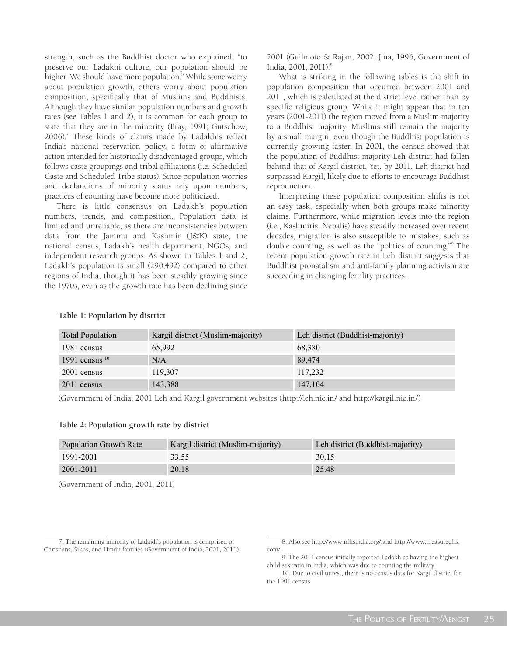strength, such as the Buddhist doctor who explained, "to preserve our Ladakhi culture, our population should be higher. We should have more population." While some worry about population growth, others worry about population composition, specifically that of Muslims and Buddhists. Although they have similar population numbers and growth rates (see Tables 1 and 2), it is common for each group to state that they are in the minority (Bray, 1991; Gutschow, 2006).7 These kinds of claims made by Ladakhis reflect India's national reservation policy, a form of affirmative action intended for historically disadvantaged groups, which follows caste groupings and tribal affiliations (i.e. Scheduled Caste and Scheduled Tribe status). Since population worries and declarations of minority status rely upon numbers, practices of counting have become more politicized.

There is little consensus on Ladakh's population numbers, trends, and composition. Population data is limited and unreliable, as there are inconsistencies between data from the Jammu and Kashmir (J&K) state, the national census, Ladakh's health department, NGOs, and independent research groups. As shown in Tables 1 and 2, Ladakh's population is small (290,492) compared to other regions of India, though it has been steadily growing since the 1970s, even as the growth rate has been declining since

2001 (Guilmoto & Rajan, 2002; Jina, 1996, Government of India, 2001, 2011).8

What is striking in the following tables is the shift in population composition that occurred between 2001 and 2011, which is calculated at the district level rather than by specific religious group. While it might appear that in ten years (2001-2011) the region moved from a Muslim majority to a Buddhist majority, Muslims still remain the majority by a small margin, even though the Buddhist population is currently growing faster. In 2001, the census showed that the population of Buddhist-majority Leh district had fallen behind that of Kargil district. Yet, by 2011, Leh district had surpassed Kargil, likely due to efforts to encourage Buddhist reproduction.

Interpreting these population composition shifts is not an easy task, especially when both groups make minority claims. Furthermore, while migration levels into the region (i.e., Kashmiris, Nepalis) have steadily increased over recent decades, migration is also susceptible to mistakes, such as double counting, as well as the "politics of counting."9 The recent population growth rate in Leh district suggests that Buddhist pronatalism and anti-family planning activism are succeeding in changing fertility practices.

#### **Table 1: Population by district**

| <b>Total Population</b> | Kargil district (Muslim-majority) | Leh district (Buddhist-majority) |
|-------------------------|-----------------------------------|----------------------------------|
| 1981 census             | 65.992                            | 68,380                           |
| 1991 census $1010-1$    | N/A                               | 89,474                           |
| 2001 census             | 119,307                           | 117,232                          |
| 2011 census             | 143,388                           | 147,104                          |

(Government of India, 2001 Leh and Kargil government websites (http://leh.nic.in/ and http://kargil.nic.in/)

#### **Table 2: Population growth rate by district**

| Population Growth Rate | Kargil district (Muslim-majority) | Leh district (Buddhist-majority) |
|------------------------|-----------------------------------|----------------------------------|
| 1991-2001              | 33.55                             | 30.15                            |
| 2001-2011              | 20.18                             | 25.48                            |

(Government of India, 2001, 2011)

<sup>7.</sup> The remaining minority of Ladakh's population is comprised of Christians, Sikhs, and Hindu families (Government of India, 2001, 2011).

<sup>8.</sup> Also see http://www.nfhsindia.org/ and http://www.measuredhs. com/.

<sup>9.</sup> The 2011 census initially reported Ladakh as having the highest child sex ratio in India, which was due to counting the military.

<sup>10.</sup> Due to civil unrest, there is no census data for Kargil district for the 1991 census.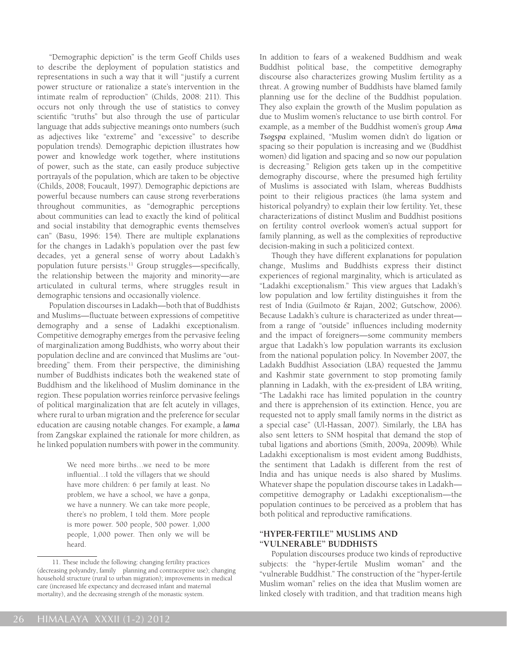"Demographic depiction" is the term Geoff Childs uses to describe the deployment of population statistics and representations in such a way that it will "justify a current power structure or rationalize a state's intervention in the intimate realm of reproduction" (Childs, 2008: 211). This occurs not only through the use of statistics to convey scientific "truths" but also through the use of particular language that adds subjective meanings onto numbers (such as adjectives like "extreme" and "excessive" to describe population trends). Demographic depiction illustrates how power and knowledge work together, where institutions of power, such as the state, can easily produce subjective portrayals of the population, which are taken to be objective (Childs, 2008; Foucault, 1997). Demographic depictions are powerful because numbers can cause strong reverberations throughout communities, as "demographic perceptions about communities can lead to exactly the kind of political and social instability that demographic events themselves can" (Basu, 1996: 154). There are multiple explanations for the changes in Ladakh's population over the past few decades, yet a general sense of worry about Ladakh's population future persists.<sup>11</sup> Group struggles—specifically, the relationship between the majority and minority—are articulated in cultural terms, where struggles result in demographic tensions and occasionally violence.

Population discourses in Ladakh—both that of Buddhists and Muslims—fluctuate between expressions of competitive demography and a sense of Ladakhi exceptionalism. Competitive demography emerges from the pervasive feeling of marginalization among Buddhists, who worry about their population decline and are convinced that Muslims are "outbreeding" them. From their perspective, the diminishing number of Buddhists indicates both the weakened state of Buddhism and the likelihood of Muslim dominance in the region. These population worries reinforce pervasive feelings of political marginalization that are felt acutely in villages, where rural to urban migration and the preference for secular education are causing notable changes. For example, a *lama* from Zangskar explained the rationale for more children, as he linked population numbers with power in the community.

> We need more births…we need to be more influential…I told the villagers that we should have more children: 6 per family at least. No problem, we have a school, we have a gonpa, we have a nunnery. We can take more people, there's no problem, I told them. More people is more power. 500 people, 500 power. 1,000 people, 1,000 power. Then only we will be heard.

In addition to fears of a weakened Buddhism and weak Buddhist political base, the competitive demography discourse also characterizes growing Muslim fertility as a threat. A growing number of Buddhists have blamed family planning use for the decline of the Buddhist population. They also explain the growth of the Muslim population as due to Muslim women's reluctance to use birth control. For example, as a member of the Buddhist women's group *Ama Tsogspa* explained, "Muslim women didn't do ligation or spacing so their population is increasing and we (Buddhist women) did ligation and spacing and so now our population is decreasing." Religion gets taken up in the competitive demography discourse, where the presumed high fertility of Muslims is associated with Islam, whereas Buddhists point to their religious practices (the lama system and historical polyandry) to explain their low fertility. Yet, these characterizations of distinct Muslim and Buddhist positions on fertility control overlook women's actual support for family planning, as well as the complexities of reproductive decision-making in such a politicized context.

Though they have different explanations for population change, Muslims and Buddhists express their distinct experiences of regional marginality, which is articulated as "Ladakhi exceptionalism." This view argues that Ladakh's low population and low fertility distinguishes it from the rest of India (Guilmoto & Rajan, 2002; Gutschow, 2006). Because Ladakh's culture is characterized as under threat from a range of "outside" influences including modernity and the impact of foreigners—some community members argue that Ladakh's low population warrants its exclusion from the national population policy. In November 2007, the Ladakh Buddhist Association (LBA) requested the Jammu and Kashmir state government to stop promoting family planning in Ladakh, with the ex-president of LBA writing, "The Ladakhi race has limited population in the country and there is apprehension of its extinction. Hence, you are requested not to apply small family norms in the district as a special case" (Ul-Hassan, 2007). Similarly, the LBA has also sent letters to SNM hospital that demand the stop of tubal ligations and abortions (Smith, 2009a, 2009b). While Ladakhi exceptionalism is most evident among Buddhists, the sentiment that Ladakh is different from the rest of India and has unique needs is also shared by Muslims. Whatever shape the population discourse takes in Ladakh competitive demography or Ladakhi exceptionalism—the population continues to be perceived as a problem that has both political and reproductive ramifications.

### **"HYPER-FERTILE" MUSLIMS AND "VULNERABLE" BUDDHISTS**

Population discourses produce two kinds of reproductive subjects: the "hyper-fertile Muslim woman" and the "vulnerable Buddhist." The construction of the "hyper-fertile Muslim woman" relies on the idea that Muslim women are linked closely with tradition, and that tradition means high

<sup>11.</sup> These include the following: changing fertility practices (decreasing polyandry, family planning and contraceptive use); changing household structure (rural to urban migration); improvements in medical care (increased life expectancy and decreased infant and maternal mortality), and the decreasing strength of the monastic system.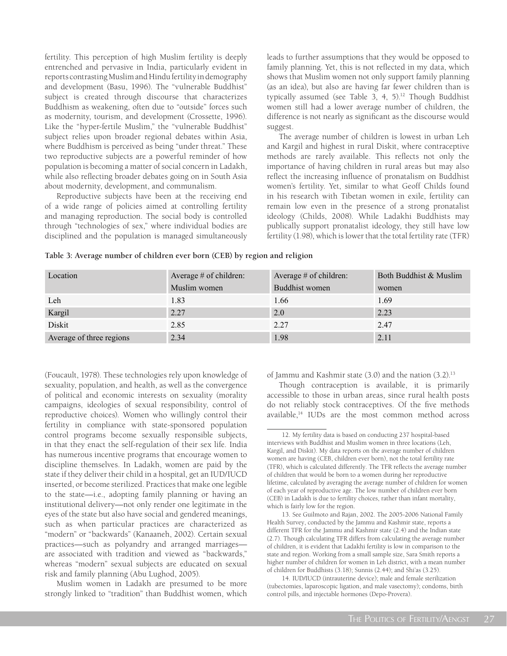fertility. This perception of high Muslim fertility is deeply entrenched and pervasive in India, particularly evident in reports contrasting Muslim and Hindu fertility in demography and development (Basu, 1996). The "vulnerable Buddhist" subject is created through discourse that characterizes Buddhism as weakening, often due to "outside" forces such as modernity, tourism, and development (Crossette, 1996). Like the "hyper-fertile Muslim," the "vulnerable Buddhist" subject relies upon broader regional debates within Asia, where Buddhism is perceived as being "under threat." These two reproductive subjects are a powerful reminder of how population is becoming a matter of social concern in Ladakh, while also reflecting broader debates going on in South Asia about modernity, development, and communalism.

Reproductive subjects have been at the receiving end of a wide range of policies aimed at controlling fertility and managing reproduction. The social body is controlled through "technologies of sex," where individual bodies are disciplined and the population is managed simultaneously leads to further assumptions that they would be opposed to family planning. Yet, this is not reflected in my data, which shows that Muslim women not only support family planning (as an idea), but also are having far fewer children than is typically assumed (see Table 3, 4,  $5$ ).<sup>12</sup> Though Buddhist women still had a lower average number of children, the difference is not nearly as significant as the discourse would suggest.

The average number of children is lowest in urban Leh and Kargil and highest in rural Diskit, where contraceptive methods are rarely available. This reflects not only the importance of having children in rural areas but may also reflect the increasing influence of pronatalism on Buddhist women's fertility. Yet, similar to what Geoff Childs found in his research with Tibetan women in exile, fertility can remain low even in the presence of a strong pronatalist ideology (Childs, 2008). While Ladakhi Buddhists may publically support pronatalist ideology, they still have low fertility (1.98), which is lower that the total fertility rate (TFR)

|  |  |  | Table 3: Average number of children ever born (CEB) by region and religion |
|--|--|--|----------------------------------------------------------------------------|
|  |  |  |                                                                            |

| Location                 | Average $#$ of children: | Average $#$ of children: | Both Buddhist & Muslim |  |
|--------------------------|--------------------------|--------------------------|------------------------|--|
|                          | Muslim women             | Buddhist women           | women                  |  |
| Leh                      | 1.83                     | 1.66                     | 1.69                   |  |
| Kargil                   | 2.27                     | 2.0                      | 2.23                   |  |
| Diskit                   | 2.85                     | 2.27                     | 2.47                   |  |
| Average of three regions | 2.34                     | 1.98                     | 2.11                   |  |

(Foucault, 1978). These technologies rely upon knowledge of sexuality, population, and health, as well as the convergence of political and economic interests on sexuality (morality campaigns, ideologies of sexual responsibility, control of reproductive choices). Women who willingly control their fertility in compliance with state-sponsored population control programs become sexually responsible subjects, in that they enact the self-regulation of their sex life. India has numerous incentive programs that encourage women to discipline themselves. In Ladakh, women are paid by the state if they deliver their child in a hospital, get an IUD/IUCD inserted, or become sterilized. Practices that make one legible to the state—i.e., adopting family planning or having an institutional delivery—not only render one legitimate in the eyes of the state but also have social and gendered meanings, such as when particular practices are characterized as "modern" or "backwards" (Kanaaneh, 2002). Certain sexual practices—such as polyandry and arranged marriages are associated with tradition and viewed as "backwards," whereas "modern" sexual subjects are educated on sexual risk and family planning (Abu Lughod, 2005).

Muslim women in Ladakh are presumed to be more strongly linked to "tradition" than Buddhist women, which of Jammu and Kashmir state  $(3.0)$  and the nation  $(3.2).^{13}$ 

Though contraception is available, it is primarily accessible to those in urban areas, since rural health posts do not reliably stock contraceptives. Of the five methods available,<sup>14</sup> IUDs are the most common method across

14. IUD/IUCD (intrauterine device); male and female sterilization (tubectomies, laparoscopic ligation, and male vasectomy); condoms, birth control pills, and injectable hormones (Depo-Provera).

<sup>12.</sup> My fertility data is based on conducting 237 hospital-based interviews with Buddhist and Muslim women in three locations (Leh, Kargil, and Diskit). My data reports on the average number of children women are having (CEB, children ever born), not the total fertility rate (TFR), which is calculated differently. The TFR reflects the average number of children that would be born to a women during her reproductive lifetime, calculated by averaging the average number of children for women of each year of reproductive age. The low number of children ever born (CEB) in Ladakh is due to fertility choices, rather than infant mortality, which is fairly low for the region.

<sup>13.</sup> See Guilmoto and Rajan, 2002. The 2005-2006 National Family Health Survey, conducted by the Jammu and Kashmir state, reports a different TFR for the Jammu and Kashmir state (2.4) and the Indian state (2.7). Though calculating TFR differs from calculating the average number of children, it is evident that Ladakhi fertility is low in comparison to the state and region. Working from a small sample size, Sara Smith reports a higher number of children for women in Leh district, with a mean number of children for Buddhists (3.18); Sunnis (2.44); and Shi'as (3.25).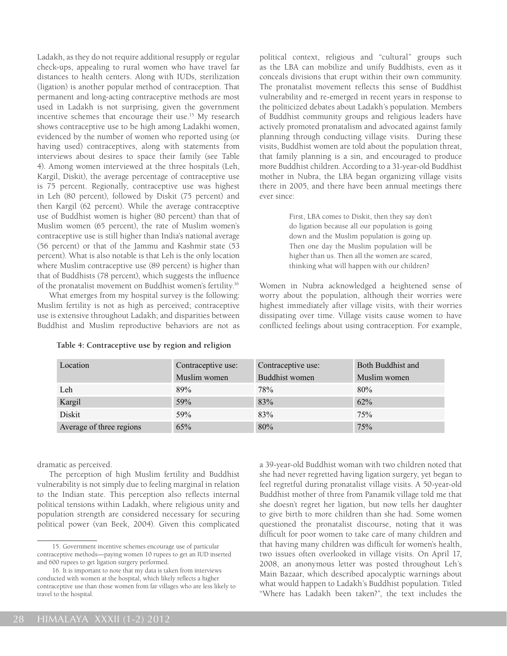Ladakh, as they do not require additional resupply or regular check-ups, appealing to rural women who have travel far distances to health centers. Along with IUDs, sterilization (ligation) is another popular method of contraception. That permanent and long-acting contraceptive methods are most used in Ladakh is not surprising, given the government incentive schemes that encourage their use.<sup>15</sup> My research shows contraceptive use to be high among Ladakhi women, evidenced by the number of women who reported using (or having used) contraceptives, along with statements from interviews about desires to space their family (see Table 4). Among women interviewed at the three hospitals (Leh, Kargil, Diskit), the average percentage of contraceptive use is 75 percent. Regionally, contraceptive use was highest in Leh (80 percent), followed by Diskit (75 percent) and then Kargil (62 percent). While the average contraceptive use of Buddhist women is higher (80 percent) than that of Muslim women (65 percent), the rate of Muslim women's contraceptive use is still higher than India's national average (56 percent) or that of the Jammu and Kashmir state (53 percent). What is also notable is that Leh is the only location where Muslim contraceptive use (89 percent) is higher than that of Buddhists (78 percent), which suggests the influence of the pronatalist movement on Buddhist women's fertility.16

What emerges from my hospital survey is the following: Muslim fertility is not as high as perceived; contraceptive use is extensive throughout Ladakh; and disparities between Buddhist and Muslim reproductive behaviors are not as

| Table 4: Contraceptive use by region and religion |  |  |  |
|---------------------------------------------------|--|--|--|
|                                                   |  |  |  |

political context, religious and "cultural" groups such as the LBA can mobilize and unify Buddhists, even as it conceals divisions that erupt within their own community. The pronatalist movement reflects this sense of Buddhist vulnerability and re-emerged in recent years in response to the politicized debates about Ladakh's population. Members of Buddhist community groups and religious leaders have actively promoted pronatalism and advocated against family planning through conducting village visits. During these visits, Buddhist women are told about the population threat, that family planning is a sin, and encouraged to produce more Buddhist children. According to a 31-year-old Buddhist mother in Nubra, the LBA began organizing village visits there in 2005, and there have been annual meetings there ever since:

> First, LBA comes to Diskit, then they say don't do ligation because all our population is going down and the Muslim population is going up. Then one day the Muslim population will be higher than us. Then all the women are scared, thinking what will happen with our children?

Women in Nubra acknowledged a heightened sense of worry about the population, although their worries were highest immediately after village visits, with their worries dissipating over time. Village visits cause women to have conflicted feelings about using contraception. For example,

| Location                 | Contraceptive use: | Contraceptive use: | Both Buddhist and |  |
|--------------------------|--------------------|--------------------|-------------------|--|
|                          | Muslim women       | Buddhist women     | Muslim women      |  |
| Leh                      | 89%                | 78%                | 80%               |  |
| Kargil                   | 59%                | 83%                | 62%               |  |
| Diskit                   | 59%                | 83%                | 75%               |  |
| Average of three regions | 65%                | 80%                | 75%               |  |

dramatic as perceived.

The perception of high Muslim fertility and Buddhist vulnerability is not simply due to feeling marginal in relation to the Indian state. This perception also reflects internal political tensions within Ladakh, where religious unity and population strength are considered necessary for securing political power (van Beek, 2004). Given this complicated

a 39-year-old Buddhist woman with two children noted that she had never regretted having ligation surgery, yet began to feel regretful during pronatalist village visits. A 50-year-old Buddhist mother of three from Panamik village told me that she doesn't regret her ligation, but now tells her daughter to give birth to more children than she had. Some women questioned the pronatalist discourse, noting that it was difficult for poor women to take care of many children and that having many children was difficult for women's health, two issues often overlooked in village visits. On April 17, 2008, an anonymous letter was posted throughout Leh's Main Bazaar, which described apocalyptic warnings about what would happen to Ladakh's Buddhist population. Titled "Where has Ladakh been taken?", the text includes the

<sup>15.</sup> Government incentive schemes encourage use of particular contraceptive methods—paying women 10 rupees to get an IUD inserted and 600 rupees to get ligation surgery performed.

<sup>16.</sup> It is important to note that my data is taken from interviews conducted with women at the hospital, which likely reflects a higher contraceptive use than those women from far villages who are less likely to travel to the hospital.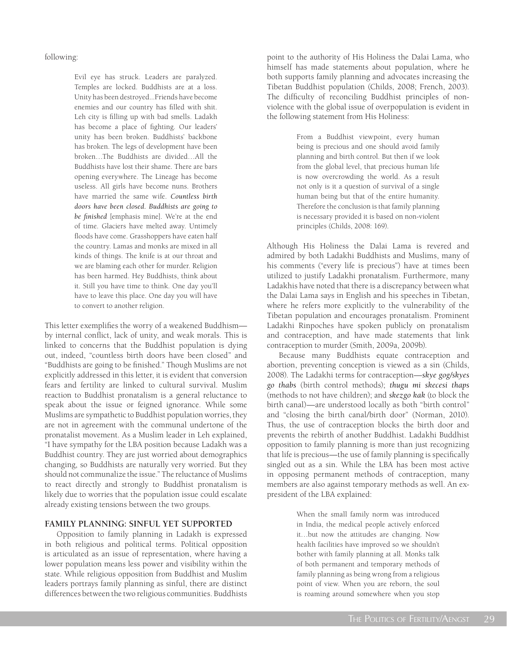following:

Evil eye has struck. Leaders are paralyzed. Temples are locked. Buddhists are at a loss. Unity has been destroyed...Friends have become enemies and our country has filled with shit. Leh city is filling up with bad smells. Ladakh has become a place of fighting. Our leaders' unity has been broken. Buddhists' backbone has broken. The legs of development have been broken…The Buddhists are divided…All the Buddhists have lost their shame. There are bars opening everywhere. The Lineage has become useless. All girls have become nuns. Brothers have married the same wife. *Countless birth doors have been closed. Buddhists are going to be finished* [emphasis mine]. We're at the end of time. Glaciers have melted away. Untimely floods have come. Grasshoppers have eaten half the country. Lamas and monks are mixed in all kinds of things. The knife is at our throat and we are blaming each other for murder. Religion has been harmed. Hey Buddhists, think about it. Still you have time to think. One day you'll have to leave this place. One day you will have to convert to another religion.

This letter exemplifies the worry of a weakened Buddhism by internal conflict, lack of unity, and weak morals. This is linked to concerns that the Buddhist population is dying out, indeed, "countless birth doors have been closed" and "Buddhists are going to be finished." Though Muslims are not explicitly addressed in this letter, it is evident that conversion fears and fertility are linked to cultural survival. Muslim reaction to Buddhist pronatalism is a general reluctance to speak about the issue or feigned ignorance. While some Muslims are sympathetic to Buddhist population worries, they are not in agreement with the communal undertone of the pronatalist movement. As a Muslim leader in Leh explained, "I have sympathy for the LBA position because Ladakh was a Buddhist country. They are just worried about demographics changing, so Buddhists are naturally very worried. But they should not communalize the issue." The reluctance of Muslims to react directly and strongly to Buddhist pronatalism is likely due to worries that the population issue could escalate already existing tensions between the two groups.

## **FAMILY PLANNING: SINFUL YET SUPPORTED**

Opposition to family planning in Ladakh is expressed in both religious and political terms. Political opposition is articulated as an issue of representation, where having a lower population means less power and visibility within the state. While religious opposition from Buddhist and Muslim leaders portrays family planning as sinful, there are distinct differences between the two religious communities. Buddhists point to the authority of His Holiness the Dalai Lama, who himself has made statements about population, where he both supports family planning and advocates increasing the Tibetan Buddhist population (Childs, 2008; French, 2003). The difficulty of reconciling Buddhist principles of nonviolence with the global issue of overpopulation is evident in the following statement from His Holiness:

> From a Buddhist viewpoint, every human being is precious and one should avoid family planning and birth control. But then if we look from the global level, that precious human life is now overcrowding the world. As a result not only is it a question of survival of a single human being but that of the entire humanity. Therefore the conclusion is that family planning is necessary provided it is based on non-violent principles (Childs, 2008: 169).

Although His Holiness the Dalai Lama is revered and admired by both Ladakhi Buddhists and Muslims, many of his comments ("every life is precious") have at times been utilized to justify Ladakhi pronatalism. Furthermore, many Ladakhis have noted that there is a discrepancy between what the Dalai Lama says in English and his speeches in Tibetan, where he refers more explicitly to the vulnerability of the Tibetan population and encourages pronatalism. Prominent Ladakhi Rinpoches have spoken publicly on pronatalism and contraception, and have made statements that link contraception to murder (Smith, 2009a, 2009b).

Because many Buddhists equate contraception and abortion, preventing conception is viewed as a sin (Childs, 2008). The Ladakhi terms for contraception—*skye gog/skyes go thabs* (birth control methods); *thugu mi skecesi thaps*  (methods to not have children); and *skezgo kak* (to block the birth canal)—are understood locally as both "birth control" and "closing the birth canal/birth door" (Norman, 2010). Thus, the use of contraception blocks the birth door and prevents the rebirth of another Buddhist. Ladakhi Buddhist opposition to family planning is more than just recognizing that life is precious—the use of family planning is specifically singled out as a sin. While the LBA has been most active in opposing permanent methods of contraception, many members are also against temporary methods as well. An expresident of the LBA explained:

> When the small family norm was introduced in India, the medical people actively enforced it…but now the attitudes are changing. Now health facilities have improved so we shouldn't bother with family planning at all. Monks talk of both permanent and temporary methods of family planning as being wrong from a religious point of view. When you are reborn, the soul is roaming around somewhere when you stop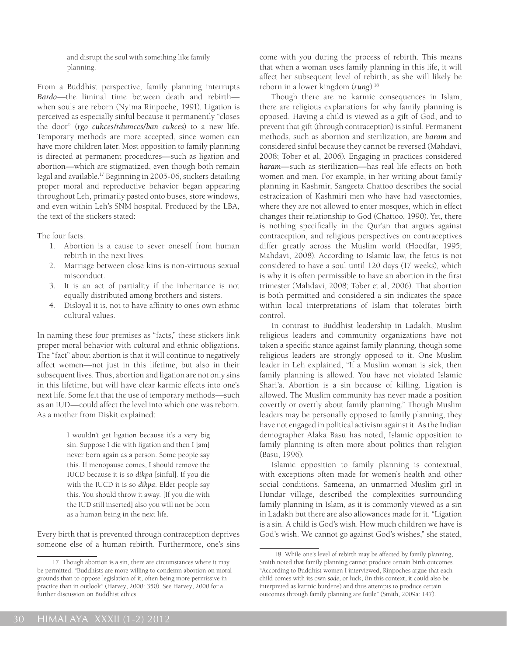and disrupt the soul with something like family planning.

From a Buddhist perspective, family planning interrupts *Bardo*—the liminal time between death and rebirth when souls are reborn (Nyima Rinpoche, 1991). Ligation is perceived as especially sinful because it permanently "closes the door" (*rgo cukces/rdumces/ban cukces*) to a new life. Temporary methods are more accepted, since women can have more children later. Most opposition to family planning is directed at permanent procedures—such as ligation and abortion—which are stigmatized, even though both remain legal and available.17 Beginning in 2005-06, stickers detailing proper moral and reproductive behavior began appearing throughout Leh, primarily pasted onto buses, store windows, and even within Leh's SNM hospital. Produced by the LBA, the text of the stickers stated:

The four facts:

- 1. Abortion is a cause to sever oneself from human rebirth in the next lives.
- 2. Marriage between close kins is non-virtuous sexual misconduct.
- 3. It is an act of partiality if the inheritance is not equally distributed among brothers and sisters.
- 4. Disloyal it is, not to have affinity to ones own ethnic cultural values.

In naming these four premises as "facts," these stickers link proper moral behavior with cultural and ethnic obligations. The "fact" about abortion is that it will continue to negatively affect women—not just in this lifetime, but also in their subsequent lives. Thus, abortion and ligation are not only sins in this lifetime, but will have clear karmic effects into one's next life. Some felt that the use of temporary methods—such as an IUD—could affect the level into which one was reborn. As a mother from Diskit explained:

> I wouldn't get ligation because it's a very big sin. Suppose I die with ligation and then I [am] never born again as a person. Some people say this. If menopause comes, I should remove the IUCD because it is so *dikpa* [sinful]. If you die with the IUCD it is so *dikpa*. Elder people say this. You should throw it away. [If you die with the IUD still inserted] also you will not be born as a human being in the next life.

Every birth that is prevented through contraception deprives someone else of a human rebirth. Furthermore, one's sins come with you during the process of rebirth. This means that when a woman uses family planning in this life, it will affect her subsequent level of rebirth, as she will likely be reborn in a lower kingdom (*rung*).18

Though there are no karmic consequences in Islam, there are religious explanations for why family planning is opposed. Having a child is viewed as a gift of God, and to prevent that gift (through contraception) is sinful. Permanent methods, such as abortion and sterilization, are *haram* and considered sinful because they cannot be reversed (Mahdavi, 2008; Tober et al, 2006). Engaging in practices considered *haram*—such as sterilization—has real life effects on both women and men. For example, in her writing about family planning in Kashmir, Sangeeta Chattoo describes the social ostracization of Kashmiri men who have had vasectomies, where they are not allowed to enter mosques, which in effect changes their relationship to God (Chattoo, 1990). Yet, there is nothing specifically in the Qur'an that argues against contraception, and religious perspectives on contraceptives differ greatly across the Muslim world (Hoodfar, 1995; Mahdavi, 2008). According to Islamic law, the fetus is not considered to have a soul until 120 days (17 weeks), which is why it is often permissible to have an abortion in the first trimester (Mahdavi, 2008; Tober et al, 2006). That abortion is both permitted and considered a sin indicates the space within local interpretations of Islam that tolerates birth control.

In contrast to Buddhist leadership in Ladakh, Muslim religious leaders and community organizations have not taken a specific stance against family planning, though some religious leaders are strongly opposed to it. One Muslim leader in Leh explained, "If a Muslim woman is sick, then family planning is allowed. You have not violated Islamic Shari'a. Abortion is a sin because of killing. Ligation is allowed. The Muslim community has never made a position covertly or overtly about family planning." Though Muslim leaders may be personally opposed to family planning, they have not engaged in political activism against it. As the Indian demographer Alaka Basu has noted, Islamic opposition to family planning is often more about politics than religion (Basu, 1996).

Islamic opposition to family planning is contextual, with exceptions often made for women's health and other social conditions. Sameena, an unmarried Muslim girl in Hundar village, described the complexities surrounding family planning in Islam, as it is commonly viewed as a sin in Ladakh but there are also allowances made for it. "Ligation is a sin. A child is God's wish. How much children we have is God's wish. We cannot go against God's wishes," she stated,

<sup>17.</sup> Though abortion is a sin, there are circumstances where it may be permitted. "Buddhists are more willing to condemn abortion on moral grounds than to oppose legislation of it, often being more permissive in practice than in outlook" (Harvey, 2000: 350). See Harvey, 2000 for a further discussion on Buddhist ethics.

<sup>18.</sup> While one's level of rebirth may be affected by family planning, Smith noted that family planning cannot produce certain birth outcomes. "According to Buddhist women I interviewed, Rinpoches argue that each child comes with its own *sode*, or luck, (in this context, it could also be interpreted as karmic burdens) and thus attempts to produce certain outcomes through family planning are futile" (Smith, 2009a: 147).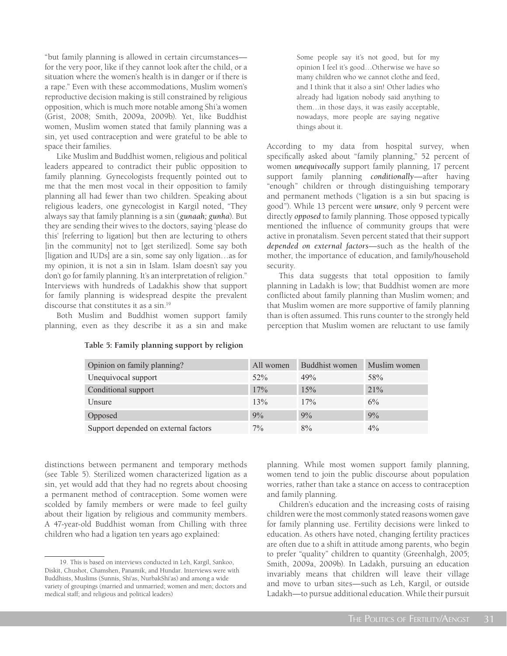"but family planning is allowed in certain circumstances for the very poor, like if they cannot look after the child, or a situation where the women's health is in danger or if there is a rape." Even with these accommodations, Muslim women's reproductive decision making is still constrained by religious opposition, which is much more notable among Shi'a women (Grist, 2008; Smith, 2009a, 2009b). Yet, like Buddhist women, Muslim women stated that family planning was a sin, yet used contraception and were grateful to be able to space their families.

Like Muslim and Buddhist women, religious and political leaders appeared to contradict their public opposition to family planning. Gynecologists frequently pointed out to me that the men most vocal in their opposition to family planning all had fewer than two children. Speaking about religious leaders, one gynecologist in Kargil noted, "They always say that family planning is a sin (*gunaah; gunha*). But they are sending their wives to the doctors, saying 'please do this' [referring to ligation] but then are lecturing to others [in the community] not to [get sterilized]. Some say both [ligation and IUDs] are a sin, some say only ligation…as for my opinion, it is not a sin in Islam. Islam doesn't say you don't go for family planning. It's an interpretation of religion." Interviews with hundreds of Ladakhis show that support for family planning is widespread despite the prevalent discourse that constitutes it as a sin.19

Both Muslim and Buddhist women support family planning, even as they describe it as a sin and make

Some people say it's not good, but for my opinion I feel it's good…Otherwise we have so many children who we cannot clothe and feed, and I think that it also a sin! Other ladies who already had ligation nobody said anything to them…in those days, it was easily acceptable, nowadays, more people are saying negative things about it.

According to my data from hospital survey, when specifically asked about "family planning," 52 percent of women *unequivocally* support family planning, 17 percent support family planning *conditionally*—after having "enough" children or through distinguishing temporary and permanent methods ("ligation is a sin but spacing is good"). While 13 percent were *unsure*, only 9 percent were directly *opposed* to family planning. Those opposed typically mentioned the influence of community groups that were active in pronatalism. Seven percent stated that their support *depended on external factors*—such as the health of the mother, the importance of education, and family/household security.

This data suggests that total opposition to family planning in Ladakh is low; that Buddhist women are more conflicted about family planning than Muslim women; and that Muslim women are more supportive of family planning than is often assumed. This runs counter to the strongly held perception that Muslim women are reluctant to use family

| Opinion on family planning?          | All women | Buddhist women | Muslim women |
|--------------------------------------|-----------|----------------|--------------|
| Unequivocal support                  | $52\%$    | 49%            | 58%          |
| Conditional support                  | 17%       | 15%            | 21%          |
| Unsure                               | 13%       | 17%            | 6%           |
| Opposed                              | 9%        | 9%             | 9%           |
| Support depended on external factors | $7\%$     | 8%             | $4\%$        |

#### **Table 5: Family planning support by religion**

distinctions between permanent and temporary methods (see Table 5). Sterilized women characterized ligation as a sin, yet would add that they had no regrets about choosing a permanent method of contraception. Some women were scolded by family members or were made to feel guilty about their ligation by religious and community members. A 47-year-old Buddhist woman from Chilling with three children who had a ligation ten years ago explained:

planning. While most women support family planning, women tend to join the public discourse about population worries, rather than take a stance on access to contraception and family planning.

Children's education and the increasing costs of raising children were the most commonly stated reasons women gave for family planning use. Fertility decisions were linked to education. As others have noted, changing fertility practices are often due to a shift in attitude among parents, who begin to prefer "quality" children to quantity (Greenhalgh, 2005; Smith, 2009a, 2009b). In Ladakh, pursuing an education invariably means that children will leave their village and move to urban sites—such as Leh, Kargil, or outside Ladakh—to pursue additional education. While their pursuit

<sup>19.</sup> This is based on interviews conducted in Leh, Kargil, Sankoo, Diskit, Chushot, Chamshen, Panamik, and Hundar. Interviews were with Buddhists, Muslims (Sunnis, Shi'as, NurbakShi'as) and among a wide variety of groupings (married and unmarried; women and men; doctors and medical staff; and religious and political leaders)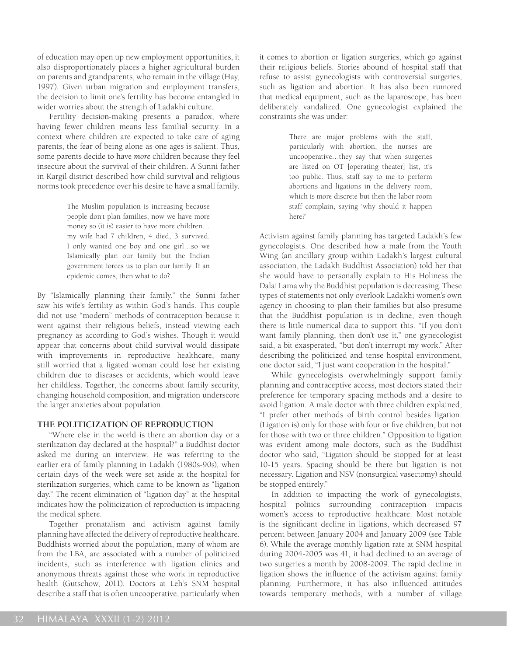of education may open up new employment opportunities, it also disproportionately places a higher agricultural burden on parents and grandparents, who remain in the village (Hay, 1997). Given urban migration and employment transfers, the decision to limit one's fertility has become entangled in wider worries about the strength of Ladakhi culture.

Fertility decision-making presents a paradox, where having fewer children means less familial security. In a context where children are expected to take care of aging parents, the fear of being alone as one ages is salient. Thus, some parents decide to have *more* children because they feel insecure about the survival of their children. A Sunni father in Kargil district described how child survival and religious norms took precedence over his desire to have a small family.

> The Muslim population is increasing because people don't plan families, now we have more money so (it is) easier to have more children… my wife had 7 children, 4 died, 3 survived. I only wanted one boy and one girl…so we Islamically plan our family but the Indian government forces us to plan our family. If an epidemic comes, then what to do?

By "Islamically planning their family," the Sunni father saw his wife's fertility as within God's hands. This couple did not use "modern" methods of contraception because it went against their religious beliefs, instead viewing each pregnancy as according to God's wishes. Though it would appear that concerns about child survival would dissipate with improvements in reproductive healthcare, many still worried that a ligated woman could lose her existing children due to diseases or accidents, which would leave her childless. Together, the concerns about family security, changing household composition, and migration underscore the larger anxieties about population.

### **THE POLITICIZATION OF REPRODUCTION**

"Where else in the world is there an abortion day or a sterilization day declared at the hospital?" a Buddhist doctor asked me during an interview. He was referring to the earlier era of family planning in Ladakh (1980s-90s), when certain days of the week were set aside at the hospital for sterilization surgeries, which came to be known as "ligation day." The recent elimination of "ligation day" at the hospital indicates how the politicization of reproduction is impacting the medical sphere.

Together pronatalism and activism against family planning have affected the delivery of reproductive healthcare. Buddhists worried about the population, many of whom are from the LBA, are associated with a number of politicized incidents, such as interference with ligation clinics and anonymous threats against those who work in reproductive health (Gutschow, 2011). Doctors at Leh's SNM hospital describe a staff that is often uncooperative, particularly when

it comes to abortion or ligation surgeries, which go against their religious beliefs. Stories abound of hospital staff that refuse to assist gynecologists with controversial surgeries, such as ligation and abortion. It has also been rumored that medical equipment, such as the laparoscope, has been deliberately vandalized. One gynecologist explained the constraints she was under:

> There are major problems with the staff, particularly with abortion, the nurses are uncooperative…they say that when surgeries are listed on OT [operating theater] list, it's too public. Thus, staff say to me to perform abortions and ligations in the delivery room, which is more discrete but then the labor room staff complain, saying 'why should it happen here?'

Activism against family planning has targeted Ladakh's few gynecologists. One described how a male from the Youth Wing (an ancillary group within Ladakh's largest cultural association, the Ladakh Buddhist Association) told her that she would have to personally explain to His Holiness the Dalai Lama why the Buddhist population is decreasing. These types of statements not only overlook Ladakhi women's own agency in choosing to plan their families but also presume that the Buddhist population is in decline, even though there is little numerical data to support this. "If you don't want family planning, then don't use it," one gynecologist said, a bit exasperated, "but don't interrupt my work." After describing the politicized and tense hospital environment, one doctor said, "I just want cooperation in the hospital."

While gynecologists overwhelmingly support family planning and contraceptive access, most doctors stated their preference for temporary spacing methods and a desire to avoid ligation. A male doctor with three children explained, "I prefer other methods of birth control besides ligation. (Ligation is) only for those with four or five children, but not for those with two or three children." Opposition to ligation was evident among male doctors, such as the Buddhist doctor who said, "Ligation should be stopped for at least 10-15 years. Spacing should be there but ligation is not necessary. Ligation and NSV (nonsurgical vasectomy) should be stopped entirely."

In addition to impacting the work of gynecologists, hospital politics surrounding contraception impacts women's access to reproductive healthcare. Most notable is the significant decline in ligations, which decreased 97 percent between January 2004 and January 2009 (see Table 6). While the average monthly ligation rate at SNM hospital during 2004-2005 was 41, it had declined to an average of two surgeries a month by 2008-2009. The rapid decline in ligation shows the influence of the activism against family planning. Furthermore, it has also influenced attitudes towards temporary methods, with a number of village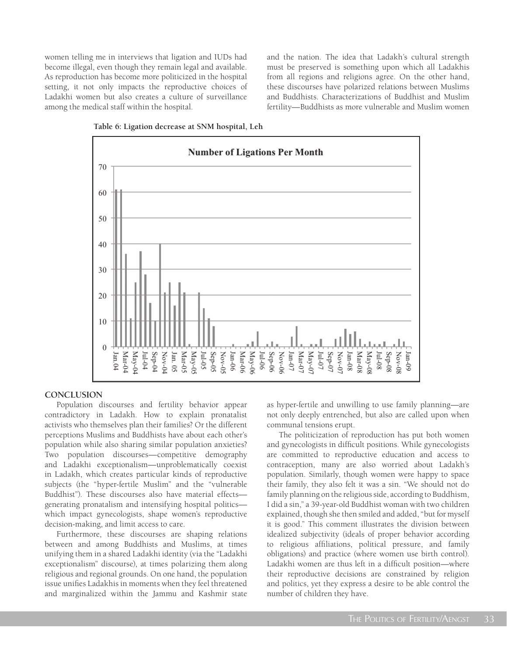women telling me in interviews that ligation and IUDs had become illegal, even though they remain legal and available. As reproduction has become more politicized in the hospital setting, it not only impacts the reproductive choices of Ladakhi women but also creates a culture of surveillance among the medical staff within the hospital.

and the nation. The idea that Ladakh's cultural strength must be preserved is something upon which all Ladakhis from all regions and religions agree. On the other hand, these discourses have polarized relations between Muslims and Buddhists. Characterizations of Buddhist and Muslim fertility—Buddhists as more vulnerable and Muslim women





#### **CONCLUSION**

Population discourses and fertility behavior appear contradictory in Ladakh. How to explain pronatalist activists who themselves plan their families? Or the different perceptions Muslims and Buddhists have about each other's population while also sharing similar population anxieties? Two population discourses—competitive demography and Ladakhi exceptionalism—unproblematically coexist in Ladakh, which creates particular kinds of reproductive subjects (the "hyper-fertile Muslim" and the "vulnerable Buddhist"). These discourses also have material effects generating pronatalism and intensifying hospital politics which impact gynecologists, shape women's reproductive decision-making, and limit access to care.

Furthermore, these discourses are shaping relations between and among Buddhists and Muslims, at times unifying them in a shared Ladakhi identity (via the "Ladakhi exceptionalism" discourse), at times polarizing them along religious and regional grounds. On one hand, the population issue unifies Ladakhis in moments when they feel threatened and marginalized within the Jammu and Kashmir state

as hyper-fertile and unwilling to use family planning—are not only deeply entrenched, but also are called upon when communal tensions erupt.

The politicization of reproduction has put both women and gynecologists in difficult positions. While gynecologists are committed to reproductive education and access to contraception, many are also worried about Ladakh's population. Similarly, though women were happy to space their family, they also felt it was a sin. "We should not do family planning on the religious side, according to Buddhism, I did a sin," a 39-year-old Buddhist woman with two children explained, though she then smiled and added, "but for myself it is good." This comment illustrates the division between idealized subjectivity (ideals of proper behavior according to religious affiliations, political pressure, and family obligations) and practice (where women use birth control). Ladakhi women are thus left in a difficult position—where their reproductive decisions are constrained by religion and politics, yet they express a desire to be able control the number of children they have.